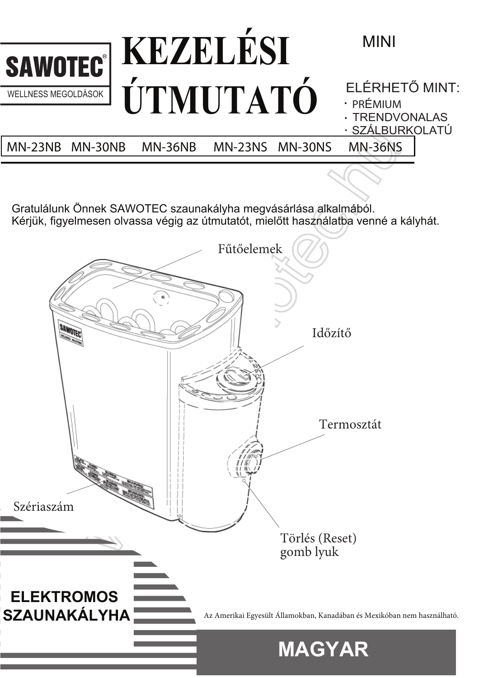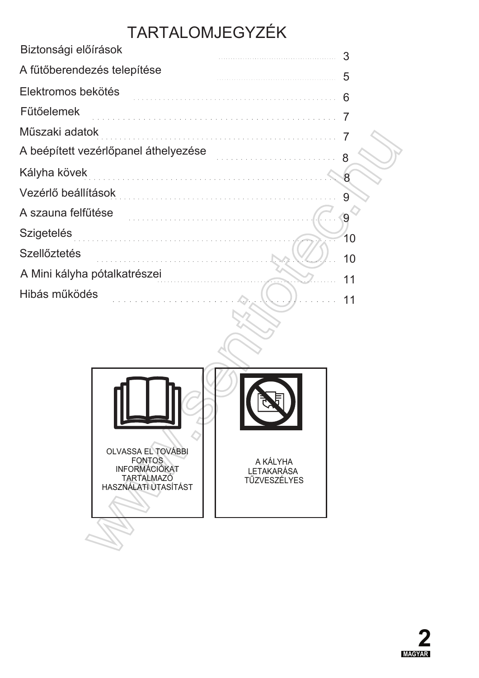# TARTALOMJEGYZÉK

| Biztonsági előírások                                                                                                                     | 3  |
|------------------------------------------------------------------------------------------------------------------------------------------|----|
| A fűtőberendezés telepítése                                                                                                              | 5  |
| Elektromos bekötés                                                                                                                       | 6  |
| <b>Fütőelemek</b>                                                                                                                        |    |
| Műszaki adatok<br><u>. 1919 - La característica de la característica de la característica de la característica de la característica </u> |    |
| A beépített vezérlőpanel áthelyezése                                                                                                     |    |
| Kályha kövek                                                                                                                             |    |
| Vezérlő beállítások                                                                                                                      | 9  |
| A szauna felfűtése                                                                                                                       | 9  |
| <b>Szigetelés</b>                                                                                                                        | 10 |
| <b>Szellőztetés</b>                                                                                                                      | 10 |
| A Mini kályha pótalkatrészei                                                                                                             | 11 |
| Hibás működés                                                                                                                            |    |
|                                                                                                                                          |    |



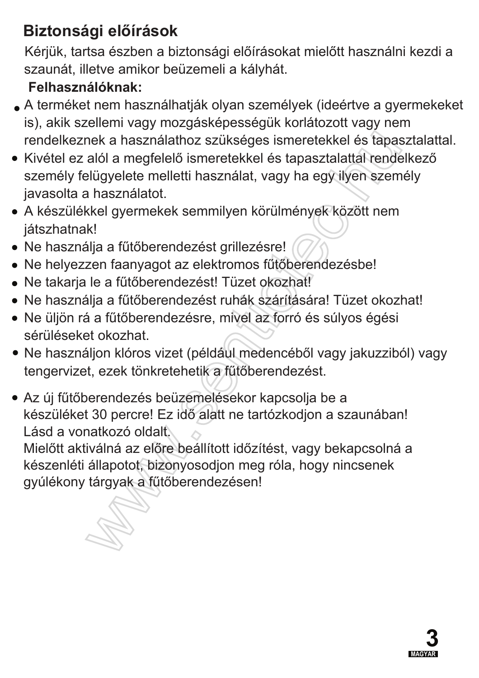## **Biztonsági előírások**

Kérjük, tartsa észben a biztonsági előírásokat mielőtt használni kezdi a szaunát, illetve amikor beüzemeli a kályhát.

### Felhasználóknak:

- $\bullet$  A terméket nem használhatják olyan személyek (ideértve a gyermekeket is), akik szellemi vagy mozgásképességük korlátozott vagy nem rendelkeznek a használathoz szükséges ismeretekkel és tapasztalattal.
- · Kivétel ez alól a megfelelő ismeretekkel és tapasztalattal rendelkező személy felügyelete melletti használat, vagy ha egy ilyen személy javasolta a használatot.
- · A készülékkel gyermekek semmilyen körülmények között nem játszhatnak!
- Ne használja a fűtőberendezést grillezésre!
- Ne helyezzen faanyagot az elektromos fűtőberendezésbe!
- Ne takarja le a fűtőberendezést! Tüzet okozhat!
- Ne használja a fűtőberendezést ruhák szárítására! Tüzet okozhat!
- Ne üljön rá a fűtőberendezésre, mivel az forró és súlyos égési sérüléseket okozhat.
- Ne használjon klóros vizet (például medencéből vagy jakuzziból) vagy tengervizet, ezek tönkretehetik a fűtőberendezést.
- Az új fűtőberendezés beüzemelésekor kapcsolja be a készüléket 30 percre! Ez idő alatt ne tartózkodjon a szaunában! Lásd a vonatkozó oldalt

Mielőtt aktiválná az előre beállított időzítést, vagy bekapcsolná a készenléti állapotot, bizonyosodjon meg róla, hogy nincsenek gyúlékony tárgyak a fűtőberendezésen!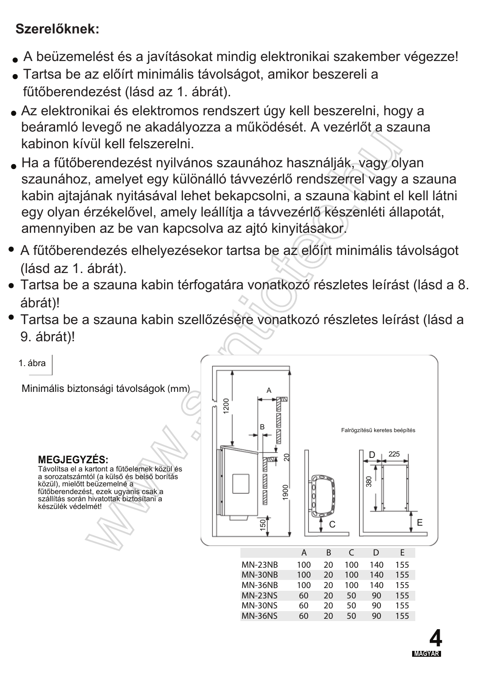### Szerelőknek:

- A beüzemelést és a javításokat mindig elektronikai szakember végezze!
- Tartsa be az előírt minimális távolságot, amikor beszereli a fűtőberendezést (lásd az 1. ábrát).
- · Az elektronikai és elektromos rendszert úgy kell beszerelni, hogy a beáramló levegő ne akadályozza a működését. A vezérlőt a szauna kabinon kívül kell felszerelni.
- Ha a fűtőberendezést nyilvános szaunához használják, vagy olyan szaunához, amelyet egy különálló távvezérlő rendszerrel vagy a szauna kabin ajtajának nyitásával lehet bekapcsolni, a szauna kabint el kell látni egy olyan érzékelővel, amely leállítja a távvezérlő készenléti állapotát, amennyiben az be van kapcsolva az ajtó kinyitásakor.
- A fűtőberendezés elhelyezésekor tartsa be az előírt minimális távolságot (lásd az 1. ábrát).
- · Tartsa be a szauna kabin térfogatára vonatkozó részletes leírást (lásd a 8. ábrát)!
- Tartsa be a szauna kabin szellőzésére vonatkozó részletes leírást (lásd a 9. ábrát)!

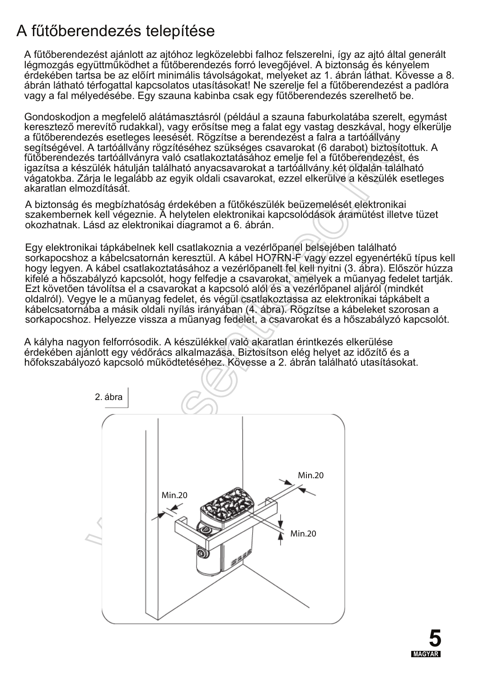## A fűtőberendezés telepítése

A fűtőberendezést ajánlott az ajtóhoz legközelebbi falhoz felszerelni, így az ajtó által generált légmozgás együttműködhet a fűtőberendezés forró levegőjével. A biztonság és kényelem érdekében tartsa be az előírt minimális távolságokat, melyeket az 1. ábrán láthat. Kövesse a 8. ábrán látható térfogattal kapcsolatos utasításokat! Ne szerelie fel a fűtőberendezést a padlóra vagy a fal mélyedésébe. Egy szauna kabinba csak egy fűtőberendezés szerelhető be.

Gondoskodjon a megfelelő alátámasztásról (például a szauna faburkolatába szerelt. egymást keresztező merevítő rudakkal), vagy erősítse meg a falat egy vastag deszkával, hogy elkerülje a fűtőberendezés esetleges leesését. Rögzítse a berendezést a falra a tartóállvány segítségével. A tartóállvány rögzítéséhez szükséges csavarokat (6 darabot) biztosítottuk. A fűtőberendezés tartóállványra való csatlakoztatásához emelje fel a fűtőberendezést, és igazítsa a készülék hátulján található anyacsavarokat a tartóállvány két oldalán található vágatokba. Zárja le legalább az egyik oldali csavarokat, ezzel elkerülve a készülék esetleges akaratlan elmozdítását.

A biztonság és megbízhatóság érdekében a fűtőkészülék beüzemelését elektronikai szakembernek kell végeznie. A helytelen elektronikai kapcsolódások áramütést illetve tüzet okozhatnak. Lásd az elektronikai diagramot a 6. ábrán.

Egy elektronikai tápkábelnek kell csatlakoznia a vezérlőpanel belsejében található sorkapocshoz a kábelcsatornán keresztül. A kábel HO7RN-F vagy ezzel egyenértékű típus kell hogy legyen. A kábel csatlakoztatásához a vezérlőpanelt fel kell nyitni (3. ábra). Először húzza kifelé a hőszabályzó kapcsolót, hogy felfedje a csavarokat, amelyek a műanyag fedelet tartják. Ezt követően távolítsa el a csavarokat a kapcsoló alól és a vezérlőpanel aljáról (mindkét oldalról). Vegye le a műanyag fedelet, és végül csatlakoztassa az elektronikai tápkábelt a kábelcsatornába a másik oldali nyílás irányában (4. ábra). Rögzítse a kábeleket szorosan a sorkapocshoz. Helyezze vissza a műanyag fedelet, a csavarokat és a hőszabályzó kapcsolót.

A kályha nagyon felforrósodik. A készülékkel való akaratlan érintkezés elkerülése érdekében ajánlott egy védőrács alkalmazása. Biztosítson elég helyet az időzítő és a hőfokszabályozó kapcsoló működtetéséhez. Kövesse a 2. ábrán található utasításokat.



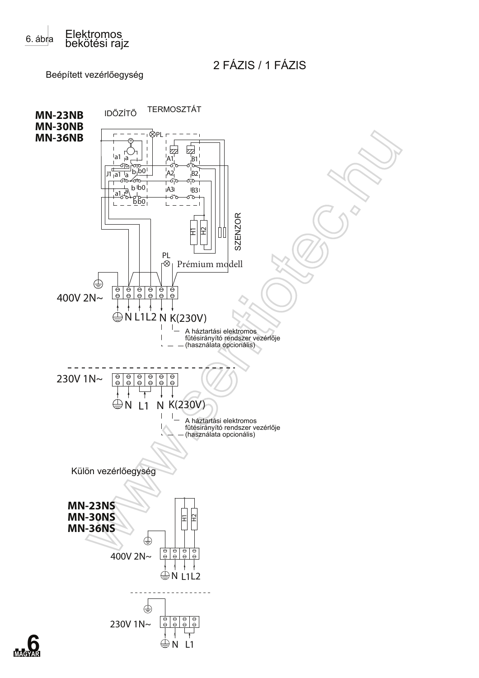

```
2 FÁZIS / 1 FÁZIS
```
Beépített vezérlőegység

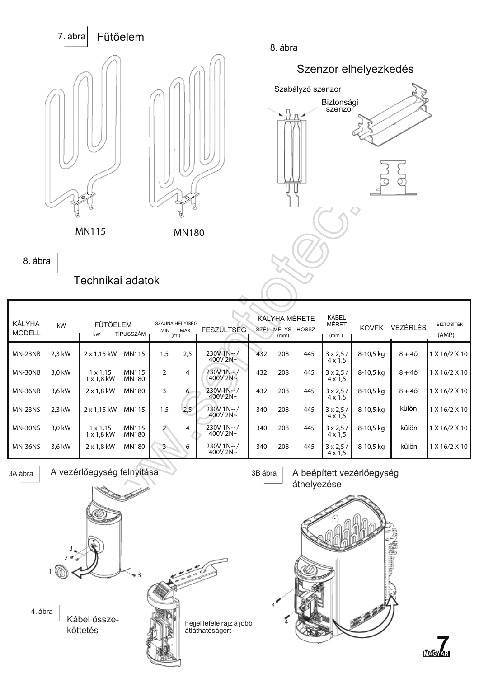![](_page_6_Figure_0.jpeg)

8. ábra

![](_page_6_Figure_2.jpeg)

8. ábra

Technikai adatok

| KÁLYHA<br><b>MODELL</b> | kW     | FŰTŐELEM<br>kW                       | TÍPUSSZÁM                    | SZAUNA HELYISÉG<br>MIN<br>(m <sup>3</sup> ) | MAX | <b>FESZÜLTSÉG</b>                |     | KÁLYHA MÉRETE<br>SZÉL. MÉLYS. HOSSZ.<br>(mm) |     | KÁBEL<br>MÉRET<br>(mm)            | KÖVEK     | <b>VEZÉRLÉS</b> | <b>BIZTOSÍTÉK</b><br>(AMP) |
|-------------------------|--------|--------------------------------------|------------------------------|---------------------------------------------|-----|----------------------------------|-----|----------------------------------------------|-----|-----------------------------------|-----------|-----------------|----------------------------|
| $MN-23NB$               | 2,3 kW | 2 x 1,15 kW                          | MN115                        | 1,5                                         | 2,5 | $230V$ 1N~ /<br>400V 2N $\sim$   | 432 | 208                                          | 445 | $3 \times 2.5/$<br>$4 \times 1.5$ | 8-10,5 kg | $8 + 40$        | 1 X 16/2 X 10              |
| MN-30NB                 | 3,0 kW | $1 \times 1,15$<br>$1 \times 1.8$ kW | <b>MN115</b><br><b>MN180</b> |                                             | 4   | $230V$ 1N~/<br>400V 2N~          | 432 | 208                                          | 445 | $3 \times 2.5/$<br>$4 \times 1,5$ | 8-10,5 kg | $8 + 40$        | 1 X 16/2 X 10              |
| MN-36NB                 | 3.6 kW | $2 \times 1.8$ kW                    | <b>MN180</b>                 | 3                                           | 6   | $230V$ 1N $\sim$<br>400V 2N~     | 432 | 208                                          | 445 | $3 \times 2.5/$<br>$4 \times 1.5$ | 8-10,5 kg | $8 + 40$        | 1 X 16/2 X 10              |
| <b>MN-23NS</b>          | 2,3 kW | 2 x 1,15 kW                          | MN115                        | 1,5                                         | 2,5 | $230V$ 1N~/<br>400V 2N~          | 340 | 208                                          | 445 | $3 \times 2.5/$<br>$4 \times 1.5$ | 8-10,5 kg | külön           | 1 X 16/2 X 10              |
| <b>MN-30NS</b>          | 3.0 kW | $1 \times 1,15$<br>$1 \times 1.8$ kW | MN115<br><b>MN180</b>        |                                             | 4   | $230V$ 1N~ /<br>400V 2N~         | 340 | 208                                          | 445 | $3 \times 2.5/$<br>$4 \times 1.5$ | 8-10,5 kg | külön           | 1 X 16/2 X 10              |
| <b>MN-36NS</b>          | 3.6 kW | $2 \times 1.8$ kW                    | <b>MN180</b>                 |                                             | 6   | $230V$ 1N~ $/$<br>400V 2N $\sim$ | 340 | 208                                          | 445 | $3 \times 2,5/$<br>$4 \times 1.5$ | 8-10,5 kg | külön           | 1 X 16/2 X 10              |

3A ábra

4. ábra

A vezérlőegység felnyitása

3B ábra

A beépített vezérlőegység áthelyezése

![](_page_6_Picture_10.jpeg)

Kábel összeköttetés

![](_page_6_Picture_12.jpeg)

![](_page_6_Picture_13.jpeg)

![](_page_6_Picture_14.jpeg)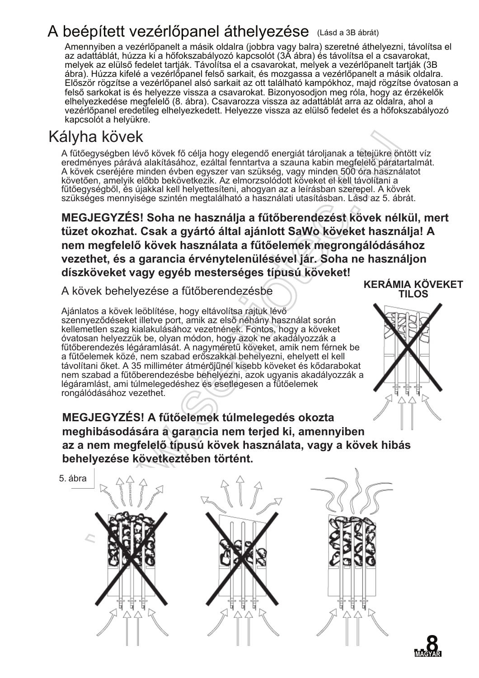## A beépített vezérlőpanel áthelyezése (Lásd a 3B ábrát)

Amennyiben a vezérlőpanelt a másik oldalra (jobbra vagy balra) szeretné áthelyezni, távolítsa el az adattáblát, húzza ki a hőfokszabályozó kapcsolót (3Ă ábra) és távolítsa el a csavarokat, melyek az elülső fedelet tartják. Távolítsa el a csavarokat, melyek a vezérlőpanelt tartják (3B ábra). Húzza kifelé a vezérlőpanel felső sarkait, és mozgassa a vezérlőpanelt a másik oldalra. Először rögzítse a vezérlőpanel alsó sarkait az ott található kampókhoz, majd rögzítse óvatosan a felső sarkokat is és helyezze vissza a csavarokat. Bizonyosodjon meg róla, hogy az érzékelők elhelyezkedése megfelélő (8. ábra). Csavarozza vissza az adattáblát arra az oldalra, ahol a vezérlőpanel eredetileg elhelyezkedett. Helyezze vissza az elülső fedelet és a hőfokszabályozó kapcsolót a helvükre.

### Kályha kövek

A fűtőegységben lévő kövek fő célja hogy elegendő energiát tároljanak a tetejükre öntött víz eredményes párává alakításához, ezáltal fenntartva a szauna kabin megfelelő páratartalmát. A kövek cseréjére minden évben egyszer van szükség, vagy minden 500 óra használatot követően, amelyik előbb bekövetkezik. Az elmorzsolódott köveket el kell távolítani a fűtőegységből, és újakkal kell helyettesíteni, ahogyan az a leírásban szerepel. A kövek szükséges mennyisége szintén megtalálható a használati utasításban. Lásd az 5. ábrát.

**KERÁMIA KÖVEKET MEGJEGYZÉS! Soha ne használja a fűtőberendezést kövek nélkül, mert** tüzet okozhat. Csak a gyártó által ajánlott SaWo köveket használja! A nem megfelelő kövek használata a fűtőelemek megrongálódásához **Vezethet, és a garancia érvénytelenülésével jár. Soha ne használjon** díszköveket vagy egyéb mesterséges típusú köveket!

A kövek behelyezése a fűtőberendezésbe

Ajánlatos a kövek leöblítése, hogy eltávolítsa rajtuk lévő szennyeződéseket illetve port, amik az első néhány használat során kellemetlen szag kialakulásához vezetnének. Fontos, hogy a köveket óvatosan helyezzük be, olyan módon, hogy azok ne akadályozzák a fűtőberendezés légáramlását. A nagyméretű köveket, amik nem férnek be a fűtőelemek közé, nem szabad erőszakkal behelyezni, ehelyett el kell távolítani őket. A 35 milliméter átmérőjűnél kisebb köveket és kődarabokat nem szabad a fűtőberendezésbe behelyezni, azok ugyanis akadályozzák a légáramlást, ami túlmelegedéshez és esetlegesen a fűtőelemek rongálódásához vezethet.

![](_page_7_Picture_7.jpeg)

**MEGJEGYZÉS! A fűtőelemek túlmelegedés okozta** meghibásodására a garancia nem terjed ki, amennyiben az a nem megfelelő típusú kövek használata, vagy a kövek hibás behelyezése következtében történt.

![](_page_7_Figure_9.jpeg)

![](_page_7_Picture_10.jpeg)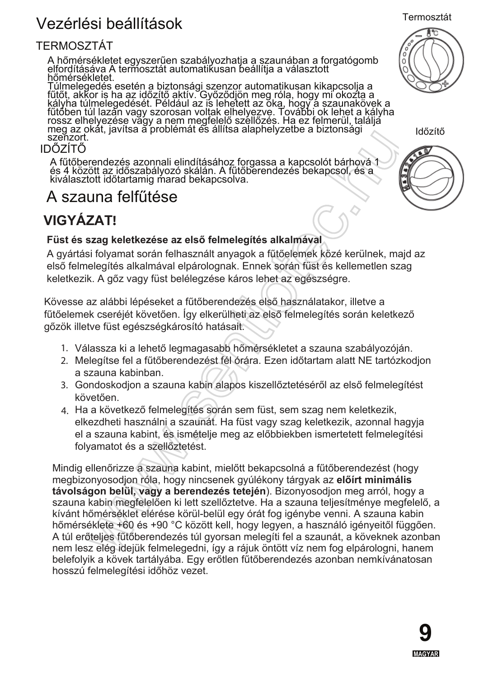## Vezérlési beállítások

#### **TERMOSZTÁT**

A hőmérsékletet egyszerűen szabályozhatja a szaunában a forgatógomb elfordításáva A termosztát automatikusan beállítja a választott hőmérsékletet.

Túlmelegedés esetén a biztonsági szenzor automatikusan kikapcsolja a<br>fűtőt, akkor is ha az időzítő aktív. Győződjön meg róla, hogy mi okozta a<br>kályha túlmelegedését. Például az is lehetett az oka, hogy a szaunakövek a<br>fűtő szenzort.

#### **IDÖZÍTŐ**

A fűtőberendezés azonnali elindításához forgassa a kapcsolót bárhová 1<br>és 4 között az időszabályozó skálán. A fűtőberendezés bekapcsol, és a<br>kiválasztott időtartamig marad bekapcsolva.

### A szauna felfűtése

### **VIGYÁZAT!**

#### Füst és szag keletkezése az első felmelegítés alkalmával

A gyártási folyamat során felhasznált anyagok a fűtőelemek közé kerülnek, majd az első felmelegítés alkalmával elpárolognak. Ennek során füst és kellemetlen szag keletkezik. A gőz vagy füst belélegzése káros lehet az egészségre.

Kövesse az alábbi lépéseket a fűtőberendezés első használatakor, illetve a fűtőelemek cseréjét követően. Így elkerülheti az első felmelegítés során keletkező gőzök illetve füst egészségkárosító hatásait.

- 1. Válassza ki a lehető legmagasabb hőmérsékletet a szauna szabályozóján.
- 2. Melegítse fel a fűtőberendezést fél órára. Ezen időtartam alatt NE tartózkodjon a szauna kabinban.
- 3. Gondoskodjon a szauna kabin alapos kiszellőztetéséről az első felmelegítést követően.
- 4. Ha a következő felmelegítés során sem füst, sem szag nem keletkezik. elkezdheti használni a szaunát. Ha füst vagy szag keletkezik, azonnal hagyja el a szauna kabint, és ismételje meg az előbbiekben ismertetett felmelegítési folyamatot és a szellőztetést.

Mindig ellenőrizze a szauna kabint, mielőtt bekapcsolná a fűtőberendezést (hogy megbizonyosodjon róla, hogy nincsenek gyúlékony tárgyak az előírt minimális távolságon belül, vagy a berendezés tetején). Bizonyosodion meg arról, hogy a szauna kabin megfelelően ki lett szellőztetve. Ha a szauna teljesítménye megfelelő, a kívánt hőmérséklet elérése körül-belül egy órát fog igénybe venni. A szauna kabin hőmérséklete +60 és +90 °C között kell, hogy legyen, a használó igényeitől függően. A túl erőteljes fűtőberendezés túl gyorsan melegíti fel a szaunát, a köveknek azonban nem lesz elég idejük felmelegedni, így a rájuk öntött víz nem fog elpárologni, hanem belefolyik a kövek tartályába. Egy erőtlen fűtőberendezés azonban nemkívánatosan hosszú felmelegítési időhöz vezet.

![](_page_8_Picture_16.jpeg)

Termosztát

![](_page_8_Picture_17.jpeg)

Időzítő

![](_page_8_Picture_19.jpeg)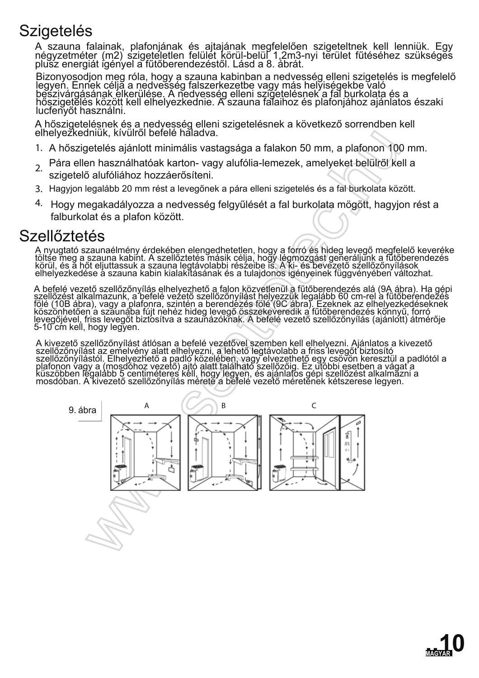## Szigetelés

A szauna falainak, plafonjának és ajtajának megfelelően szigeteltnek kell lenniük. Egy négyzetméter (m2) szigeteletlen felülét körül-belül 1,2m3-nyi terület fűtéséhez szükséges plušz energiát igényel a fűtőberendezéstől. Lásd a 8. ábrát.

Bizonyosodjon meg róla, hogy a szauna kabinban a nedvesség elleni szigetelés is megfelelő legyeň. Ennek céljă a nedvešség falszerkezetbe vagy más helyiségekbe való bešzivárgásának élkerülése. A nedvesség elleni szigételésnek a fal burkolata és a hőszigetĕlés között kell elhelyezkednie. A szauna falaihoz és plafonjához ajánlatos északi lucfenyőt használni.

A hőszigetelésnek és a nedvesség elleni szigetelésnek a következő sorrendben kell elhelyezkedniük, kívülről befelé haladva.

- 1. A hőszigetelés ajánlott minimális vastagsága a falakon 50 mm, a plafonon 100 mm.
- Pára ellen használhatóak karton- vagy alufólia-lemezek, amelyeket belülről kell a  $\mathcal{L}$
- szigetelő alufóliához hozzáerősíteni.
- 3. Hagyjon legalább 20 mm rést a levegőnek a pára elleni szigetelés és a fal burkolata között.
- 4. Hogy megakadályozza a nedvesség felgyűlését a fal burkolata mögött, hagyjon rést a falburkolat és a plafon között.

### Szellőztetés

A nyugtató szaunaélmény érdekében elengedhetetlen, hogy a forró és hideg leyegő megfelelő keveréke töltše meg a szauna kabint. A szellőztetés másik célja, hogy légmozgást generáljunk a fütőberendezés körül, és ă hőt eljuttassuk a szauna legtávolabbi részeibe iš. A ki- és bevezető szellőzőnyílások<sub>.</sub> elhelýezkedése á szauna kabin kialakĭtásának és a tulajdonos igényeinek függvényében változhat.

A befelé vezető szellőzőnyílás elhelyezhető a falon közvetlenül a fűtőberendezés alá (9A ábra). Ha gépi szellőzést alkalmazunk, a befelé vezető szellőzőnyílást helyezzük legalább 60 cm-rel a fűtőberendezés fölé (10B ábra), vagy a plafonra, szintén a berendézés fölé (9C ábra). Ezeknek az elhelyezkedéseknek köszönhetően a száunába fújt nehéz hideg levegő összekeveredik a fűtőberendezés könnyű, forró levegőjével, friss levegőt biztosítva a szauňázókňak. A befelé vezető szellőzőnyílás (ajánlótt) átmérője 5-10 cm kell, hogy legyen.

A kivezető szellőzőnyílást átlósan a befelé vezetővel szemben kell elhelyezni. Ajánlatos a kivezető szellőzőnyílást az emelvény alatt elhelyezni, a lehető legtávolabb a friss levegőt biztosító szellőzőnyílástól. Elhelyezhető a padló közelében, vagy elvezethető egy csövön keresztül a padlótól a plafonon vagy a (mosdóhoz vezető) ajtó alatt található szellőzőig. Ez utóbbi esetben a vágat a küszöbben légalább 5 centiméteres kéll, hogy legyen, és ajánlatós gépi szellőzést alkalmázni a mosdóban. A kivezető szellőzőnyílás mérete a befelé vezető méretének kétszerese legyen.

![](_page_9_Figure_13.jpeg)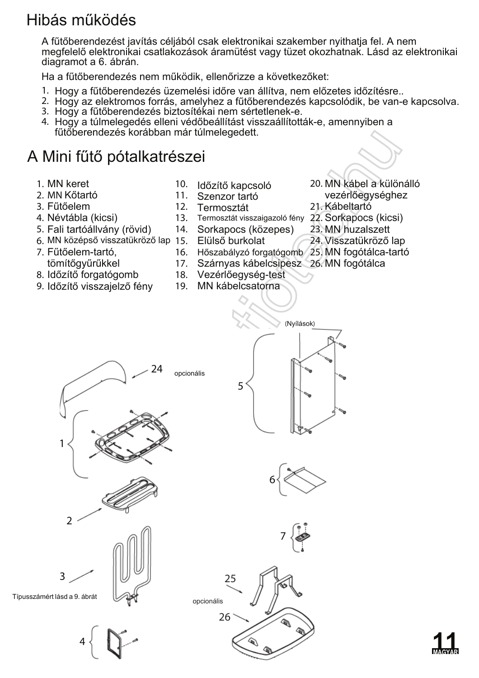## Hibás működés

A fűtőberendezést javítás céljából csak elektronikai szakember nyithatia fel. A nem megfelelő elektronikai csatlakozások áramütést vagy tüzet okozhatnak. Lásd az elektronikai diagramot a 6. ábrán.

Ha a fűtőberendezés nem működik, ellenőrizze a következőket:

- 1. Hogy a fűtőberendezés üzemelési időre van állítva, nem előzetes időzítésre..
- 2. Hogy az elektromos forrás, amelyhez a fűtőberendezés kapcsolódik, be van-e kapcsolva.
- 3. Hogy a fűtőberendezés biztosítékai nem sértetlenek-e.
- 4. Hogy a túlmelegedés elleni védőbeállítást visszaállították-e, amennyiben a fűtőberendezés korábban már túlmelegedett.

## A Mini fűtő pótalkatrészei

- 1. MN keret
- 2. MN Kőtartó
- 3. Fűtőelem
- 4. Névtábla (kicsi)
- 5. Fali tartóállvány (rövid)
- 6. MN középső visszatükröző lap 15. Elülső burkolat
- 7. Fűtőelem-tartó, tömítőqvűrűkkel
- 8. Időzítő forgatógomb
- 9. Időzítő visszajelző fény
- 10. Időzítő kapcsoló
- 11. Szenzor tartó
- 12. Termosztát
- 13. Termosztát visszaigazoló fény 22. Sorkapocs (kicsi)
- 14. Sorkapocs (közepes)
	-
- 16. Hőszabályzó forgatógomb 25. MN fogótálca-tartó
- 17. Szárnyas kábelcsipesz 26. MN fogótálca
- 18. Vezérlőegység-test
- 19. MN kábelcsatorna
- 20. MN kábel a különálló vezérlőegységhez 21. Kábeltartó
- 
- 23. MN huzalszett
- 24. Visszatükröző lap
- 
- 
- 
- 

![](_page_10_Figure_35.jpeg)

![](_page_10_Figure_36.jpeg)

![](_page_10_Figure_37.jpeg)

![](_page_10_Figure_38.jpeg)

(Nyílások)

![](_page_10_Picture_39.jpeg)

![](_page_10_Picture_40.jpeg)

![](_page_10_Figure_41.jpeg)

![](_page_10_Picture_42.jpeg)